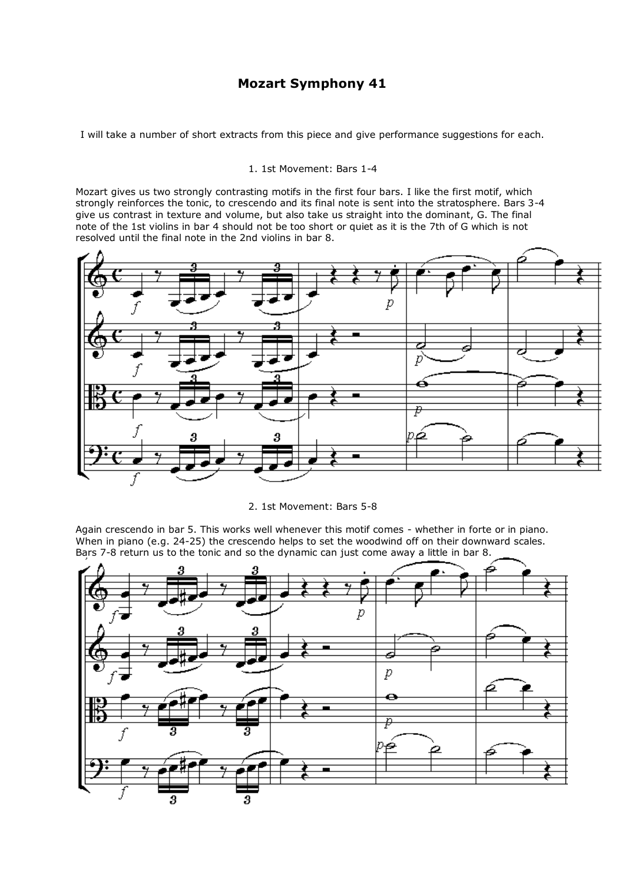# **Mozart Symphony 41**

I will take a number of short extracts from this piece and give performance suggestions for each.

## 1. 1st Movement: Bars 1-4

Mozart gives us two strongly contrasting motifs in the first four bars. I like the first motif, which strongly reinforces the tonic, to crescendo and its final note is sent into the stratosphere. Bars 3-4 give us contrast in texture and volume, but also take us straight into the dominant, G. The final note of the 1st violins in bar 4 should not be too short or quiet as it is the 7th of G which is not resolved until the final note in the 2nd violins in bar 8.



2. 1st Movement: Bars 5-8

Again crescendo in bar 5. This works well whenever this motif comes - whether in forte or in piano. When in piano (e.g. 24-25) the crescendo helps to set the woodwind off on their downward scales. Bars 7-8 return us to the tonic and so the dynamic can just come away a little in bar 8.

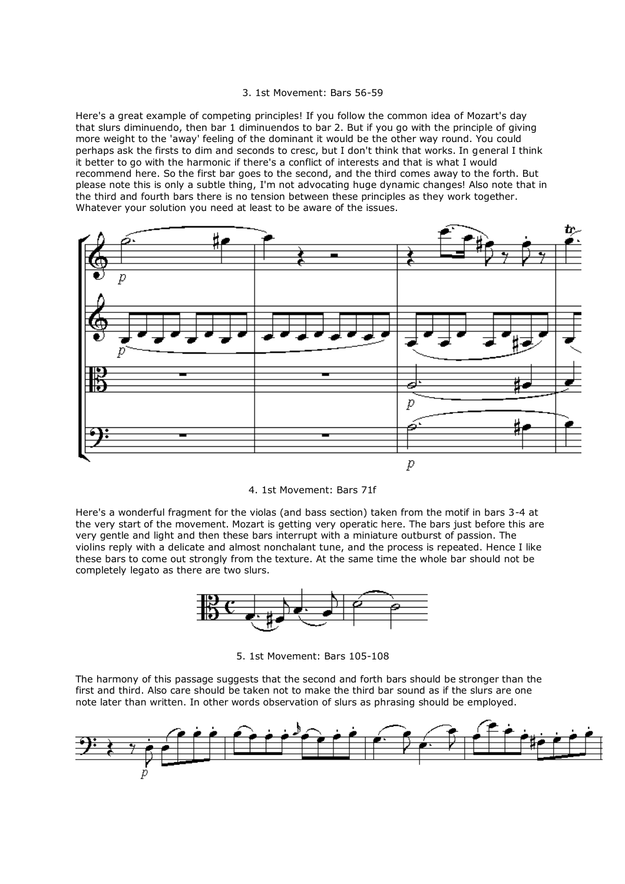#### 3. 1st Movement: Bars 56-59

Here's a great example of competing principles! If you follow the common idea of Mozart's day that slurs diminuendo, then bar 1 diminuendos to bar 2. But if you go with the principle of giving more weight to the 'away' feeling of the dominant it would be the other way round. You could perhaps ask the firsts to dim and seconds to cresc, but I don't think that works. In general I think it better to go with the harmonic if there's a conflict of interests and that is what I would recommend here. So the first bar goes to the second, and the third comes away to the forth. But please note this is only a subtle thing, I'm not advocating huge dynamic changes! Also note that in the third and fourth bars there is no tension between these principles as they work together. Whatever your solution you need at least to be aware of the issues.



#### 4. 1st Movement: Bars 71f

Here's a wonderful fragment for the violas (and bass section) taken from the motif in bars 3-4 at the very start of the movement. Mozart is getting very operatic here. The bars just before this are very gentle and light and then these bars interrupt with a miniature outburst of passion. The violins reply with a delicate and almost nonchalant tune, and the process is repeated. Hence I like these bars to come out strongly from the texture. At the same time the whole bar should not be completely legato as there are two slurs.



5. 1st Movement: Bars 105-108

The harmony of this passage suggests that the second and forth bars should be stronger than the first and third. Also care should be taken not to make the third bar sound as if the slurs are one note later than written. In other words observation of slurs as phrasing should be employed.

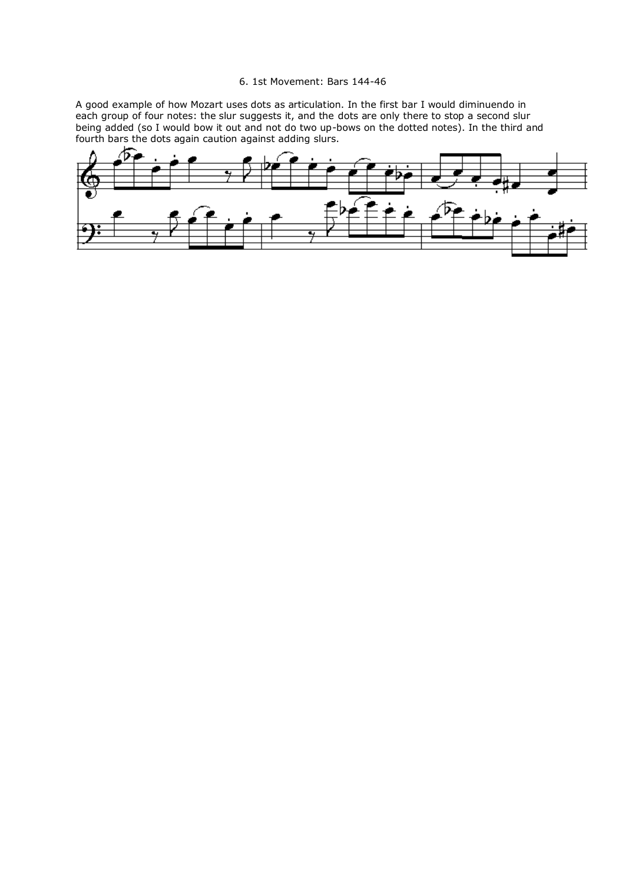### 6. 1st Movement: Bars 144-46

A good example of how Mozart uses dots as articulation. In the first bar I would diminuendo in each group of four notes: the slur suggests it, and the dots are only there to stop a second slur being added (so I would bow it out and not do two up-bows on the dotted notes). In the third and fourth bars the dots again caution against adding slurs.

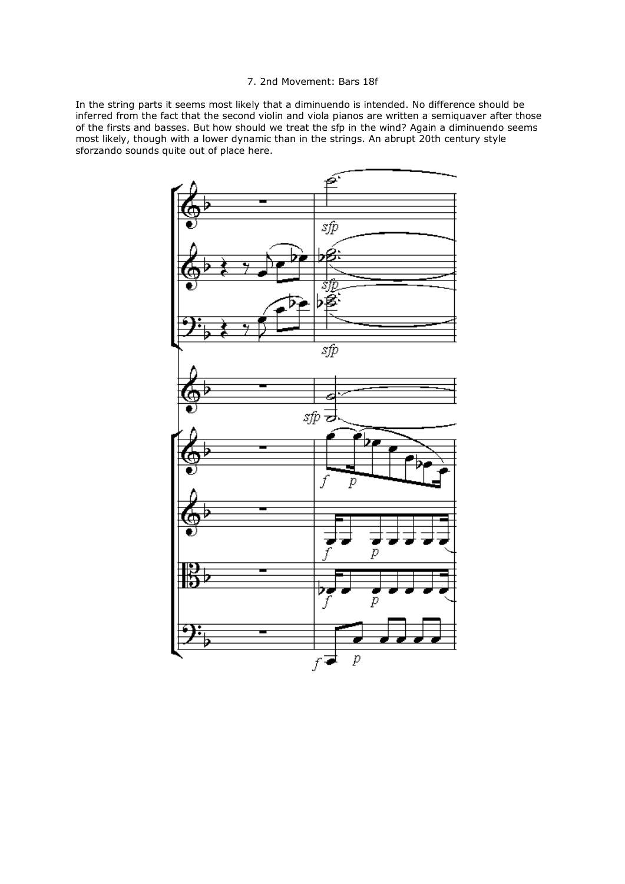## 7. 2nd Movement: Bars 18f

In the string parts it seems most likely that a diminuendo is intended. No difference should be inferred from the fact that the second violin and viola pianos are written a semiquaver after those of the firsts and basses. But how should we treat the sfp in the wind? Again a diminuendo seems most likely, though with a lower dynamic than in the strings. An abrupt 20th century style sforzando sounds quite out of place here.

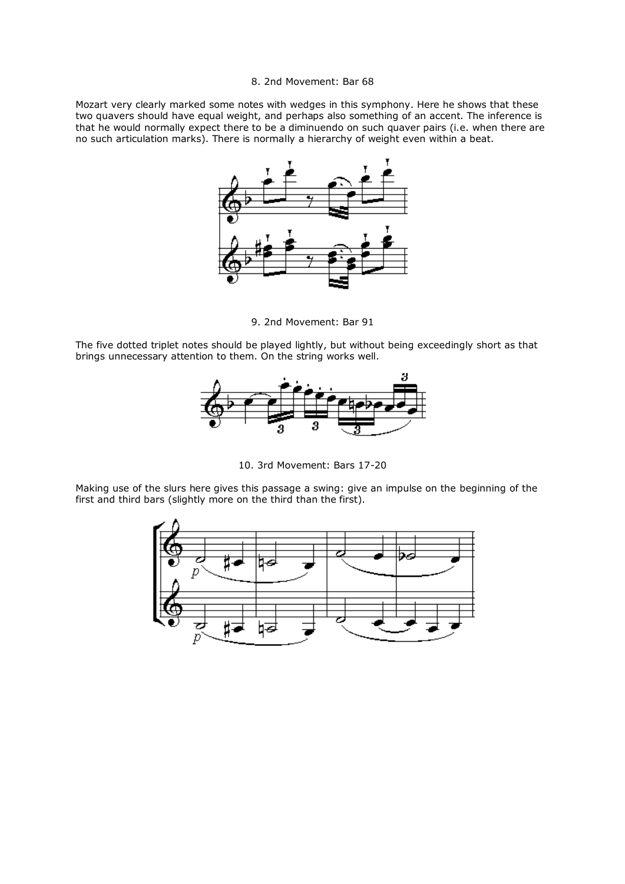## 8. 2nd Movement: Bar 68

Mozart very clearly marked some notes with wedges in this symphony. Here he shows that these two quavers should have equal weight, and perhaps also something of an accent. The inference is that he would normally expect there to be a diminuendo on such quaver pairs (i.e. when there are no such articulation marks). There is normally a hierarchy of weight even within a beat.



9. 2nd Movement: Bar 91

The five dotted triplet notes should be played lightly, but without being exceedingly short as that brings unnecessary attention to them. On the string works well.



10. 3rd Movement: Bars 17-20

Making use of the slurs here gives this passage a swing: give an impulse on the beginning of the first and third bars (slightly more on the third than the first).

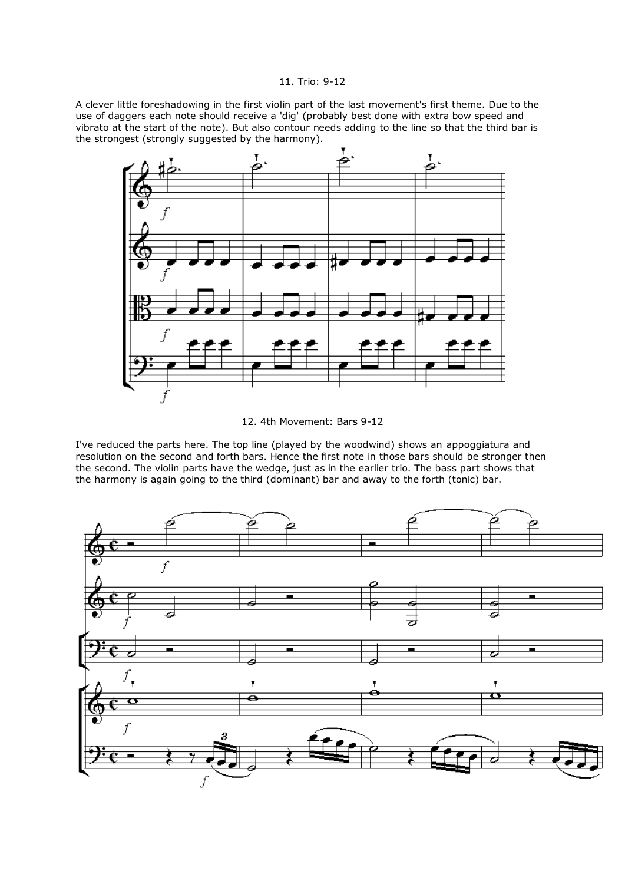## 11. Trio: 9-12

A clever little foreshadowing in the first violin part of the last movement's first theme. Due to the use of daggers each note should receive a 'dig' (probably best done with extra bow speed and vibrato at the start of the note). But also contour needs adding to the line so that the third bar is the strongest (strongly suggested by the harmony).



12. 4th Movement: Bars 9-12

I've reduced the parts here. The top line (played by the woodwind) shows an appoggiatura and resolution on the second and forth bars. Hence the first note in those bars should be stronger then the second. The violin parts have the wedge, just as in the earlier trio. The bass part shows that the harmony is again going to the third (dominant) bar and away to the forth (tonic) bar.

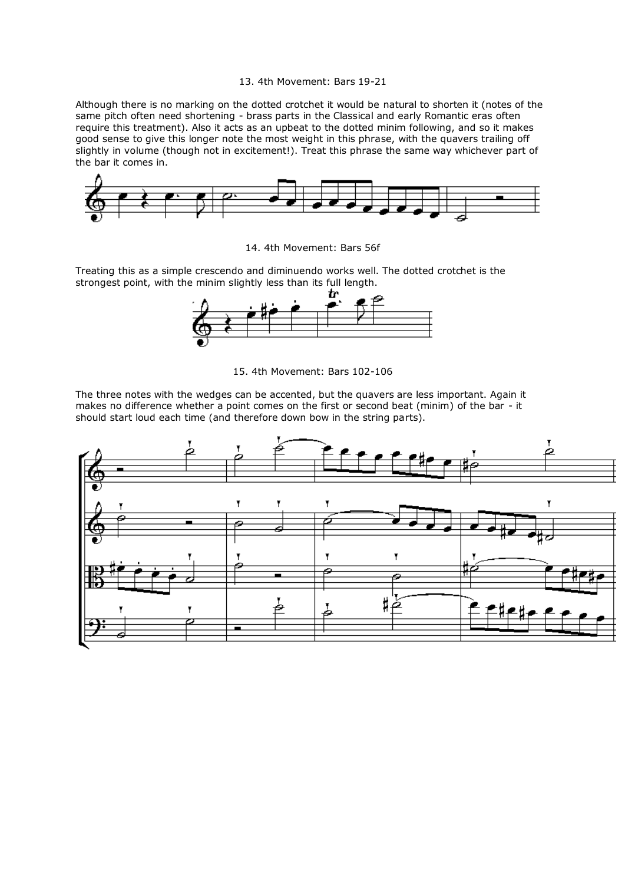#### 13. 4th Movement: Bars 19-21

Although there is no marking on the dotted crotchet it would be natural to shorten it (notes of the same pitch often need shortening - brass parts in the Classical and early Romantic eras often require this treatment). Also it acts as an upbeat to the dotted minim following, and so it makes good sense to give this longer note the most weight in this phrase, with the quavers trailing off slightly in volume (though not in excitement!). Treat this phrase the same way whichever part of the bar it comes in.



14. 4th Movement: Bars 56f

Treating this as a simple crescendo and diminuendo works well. The dotted crotchet is the strongest point, with the minim slightly less than its full length.



15. 4th Movement: Bars 102-106

The three notes with the wedges can be accented, but the quavers are less important. Again it makes no difference whether a point comes on the first or second beat (minim) of the bar - it should start loud each time (and therefore down bow in the string parts).